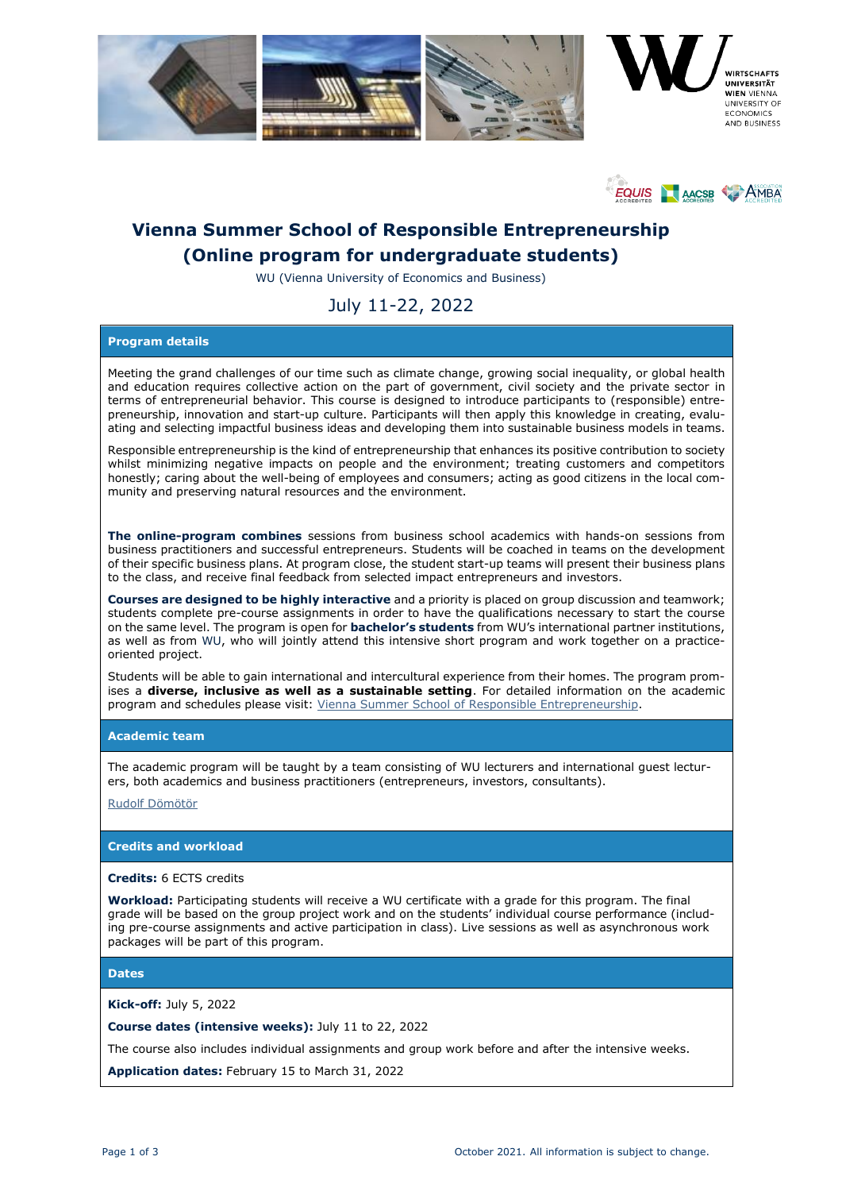



# **Vienna Summer School of Responsible Entrepreneurship (Online program for undergraduate students)**

WU (Vienna University of Economics and Business)

## July 11-22, 2022

## **Program details**

Meeting the grand challenges of our time such as climate change, growing social inequality, or global health and education requires collective action on the part of government, civil society and the private sector in terms of entrepreneurial behavior. This course is designed to introduce participants to (responsible) entrepreneurship, innovation and start-up culture. Participants will then apply this knowledge in creating, evaluating and selecting impactful business ideas and developing them into sustainable business models in teams.

Responsible entrepreneurship is the kind of entrepreneurship that enhances its positive contribution to society whilst minimizing negative impacts on people and the environment; treating customers and competitors honestly; caring about the well-being of employees and consumers; acting as good citizens in the local community and preserving natural resources and the environment.

**The online-program combines** sessions from business school academics with hands-on sessions from business practitioners and successful entrepreneurs. Students will be coached in teams on the development of their specific business plans. At program close, the student start-up teams will present their business plans to the class, and receive final feedback from selected impact entrepreneurs and investors.

**Courses are designed to be highly interactive** and a priority is placed on group discussion and teamwork; students complete pre-course assignments in order to have the qualifications necessary to start the course on the same level. The program is open for **bachelor's students** from WU's international partner institutions, as well as from WU, who will jointly attend this intensive short program and work together on a practiceoriented project.

Students will be able to gain international and intercultural experience from their homes. The program promises a **diverse, inclusive as well as a sustainable setting**. For detailed information on the academic program and schedules please visit: [Vienna Summer School of Responsible Entrepreneurship.](https://www.wu.ac.at/en/programs/incoming-students/vienna-summer-school-of-responsible-entrepreneurship)

## **Academic team**

The academic program will be taught by a team consisting of WU lecturers and international guest lecturers, both academics and business practitioners (entrepreneurs, investors, consultants).

[Rudolf Dömötör](https://www.wu.ac.at/entrep/institut/team/cv/doemoetoer)

## **Credits and workload**

#### **Credits:** 6 ECTS credits

**Workload:** Participating students will receive a WU certificate with a grade for this program. The final grade will be based on the group project work and on the students' individual course performance (including pre-course assignments and active participation in class). Live sessions as well as asynchronous work packages will be part of this program.

**Dates**

**Kick-off:** July 5, 2022

**Course dates (intensive weeks):** July 11 to 22, 2022

The course also includes individual assignments and group work before and after the intensive weeks.

**Application dates:** February 15 to March 31, 2022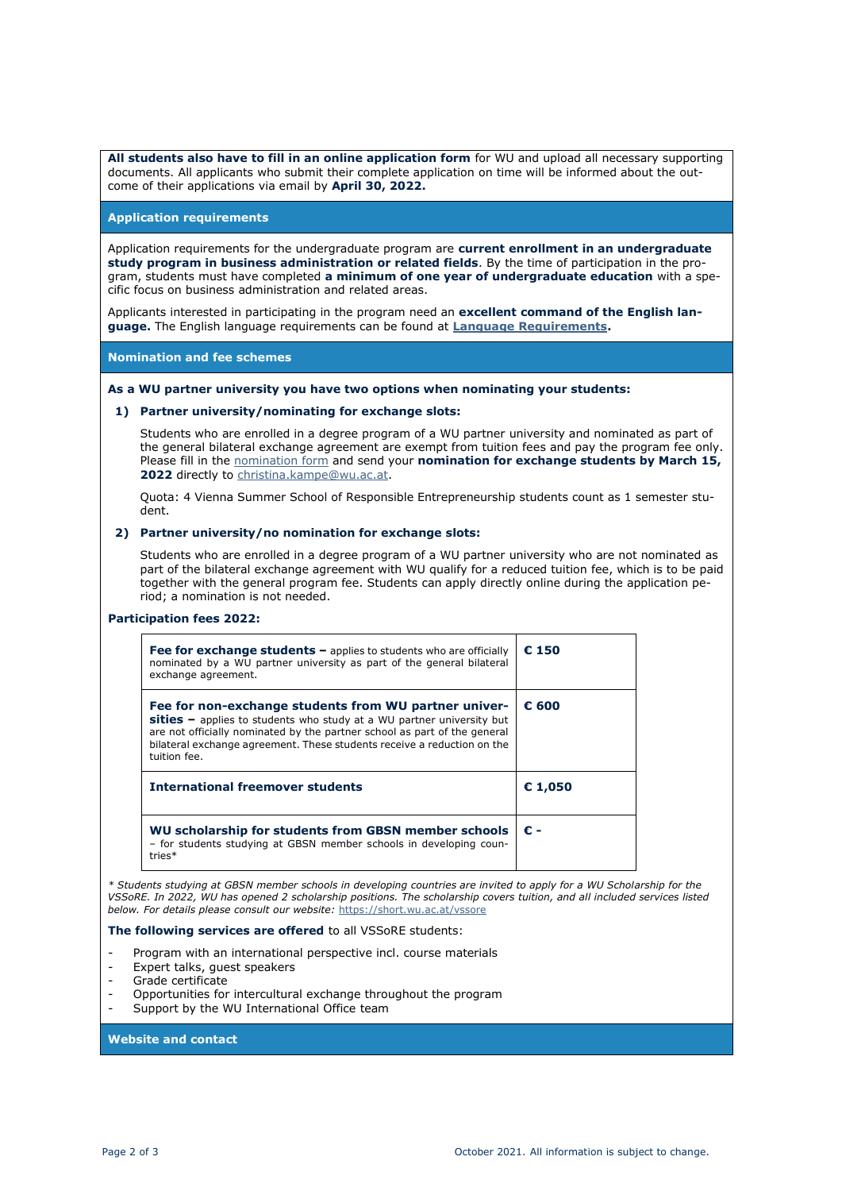**All students also have to fill in an online application form** for WU and upload all necessary supporting documents. All applicants who submit their complete application on time will be informed about the outcome of their applications via email by **April 30, 2022.**

#### **Application requirements**

Application requirements for the undergraduate program are **current enrollment in an undergraduate study program in business administration or related fields**. By the time of participation in the program, students must have completed **a minimum of one year of undergraduate education** with a specific focus on business administration and related areas.

Applicants interested in participating in the program need an **excellent command of the English language.** The English language requirements can be found at **[Language Requirements.](https://www.wu.ac.at/fileadmin/wu/s/io/downloadcenter-en/ISU_WU_downloads/English_Language_Requirements_ISU_WU.pdf)**

**Nomination and fee schemes**

#### **As a WU partner university you have two options when nominating your students:**

#### **1) Partner university/nominating for exchange slots:**

Students who are enrolled in a degree program of a WU partner university and nominated as part of the general bilateral exchange agreement are exempt from tuition fees and pay the program fee only. Please fill in the [nomination form](https://www.wu.ac.at/fileadmin/wu/s/io/downloadcenter-en/ISU_WU_downloads/Nomination_Form_ISU_WU___VSSoRE_2022_Template.xlsx) and send your **nomination for exchange students by March 15, 2022** directly to [christina.kampe@wu.ac.at.](mailto:christina.kampe@wu.ac.at)

Quota: 4 Vienna Summer School of Responsible Entrepreneurship students count as 1 semester student.

#### **2) Partner university/no nomination for exchange slots:**

Students who are enrolled in a degree program of a WU partner university who are not nominated as part of the bilateral exchange agreement with WU qualify for a reduced tuition fee, which is to be paid together with the general program fee. Students can apply directly online during the application period; a nomination is not needed.

#### **Participation fees 2022:**

| Fee for exchange students $-$ applies to students who are officially<br>nominated by a WU partner university as part of the general bilateral<br>exchange agreement.                                                                                                                                     | € 150   |
|----------------------------------------------------------------------------------------------------------------------------------------------------------------------------------------------------------------------------------------------------------------------------------------------------------|---------|
| Fee for non-exchange students from WU partner univer-<br>$sities -$ applies to students who study at a WU partner university but<br>are not officially nominated by the partner school as part of the general<br>bilateral exchange agreement. These students receive a reduction on the<br>tuition fee. | € 600   |
| <b>International freemover students</b>                                                                                                                                                                                                                                                                  | € 1,050 |
| WU scholarship for students from GBSN member schools<br>- for students studying at GBSN member schools in developing coun-                                                                                                                                                                               | € -     |

*\* Students studying at GBSN member schools in developing countries are invited to apply for a WU Scholarship for the VSSoRE. In 2022, WU has opened 2 scholarship positions. The scholarship covers tuition, and all included services listed below. For details please consult our website:* <https://short.wu.ac.at/vssore>

#### **The following services are offered** to all VSSoRE students:

- Program with an international perspective incl. course materials
- Expert talks, guest speakers
- Grade certificate
- Opportunities for intercultural exchange throughout the program
- Support by the WU International Office team

#### **Website and contact**